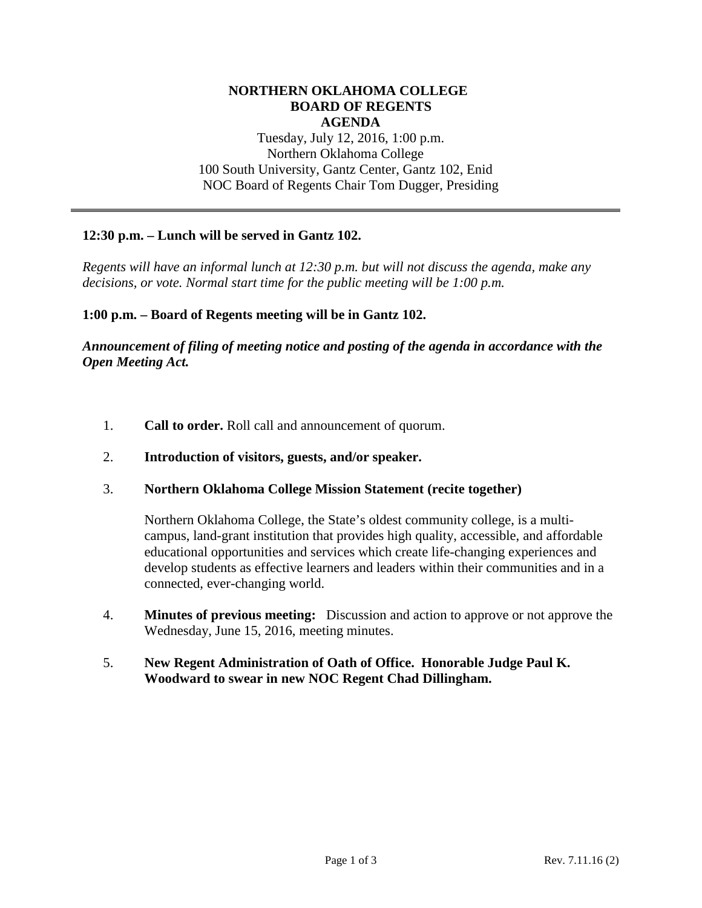# **NORTHERN OKLAHOMA COLLEGE BOARD OF REGENTS AGENDA** Tuesday, July 12, 2016, 1:00 p.m. Northern Oklahoma College 100 South University, Gantz Center, Gantz 102, Enid NOC Board of Regents Chair Tom Dugger, Presiding

### **12:30 p.m. – Lunch will be served in Gantz 102.**

*Regents will have an informal lunch at 12:30 p.m. but will not discuss the agenda, make any decisions, or vote. Normal start time for the public meeting will be 1:00 p.m.*

**1:00 p.m. – Board of Regents meeting will be in Gantz 102.** 

*Announcement of filing of meeting notice and posting of the agenda in accordance with the Open Meeting Act.*

- 1. **Call to order.** Roll call and announcement of quorum.
- 2. **Introduction of visitors, guests, and/or speaker.**
- 3. **Northern Oklahoma College Mission Statement (recite together)**

Northern Oklahoma College, the State's oldest community college, is a multicampus, land-grant institution that provides high quality, accessible, and affordable educational opportunities and services which create life-changing experiences and develop students as effective learners and leaders within their communities and in a connected, ever-changing world.

- 4. **Minutes of previous meeting:** Discussion and action to approve or not approve the Wednesday, June 15, 2016, meeting minutes.
- 5. **New Regent Administration of Oath of Office. Honorable Judge Paul K. Woodward to swear in new NOC Regent Chad Dillingham.**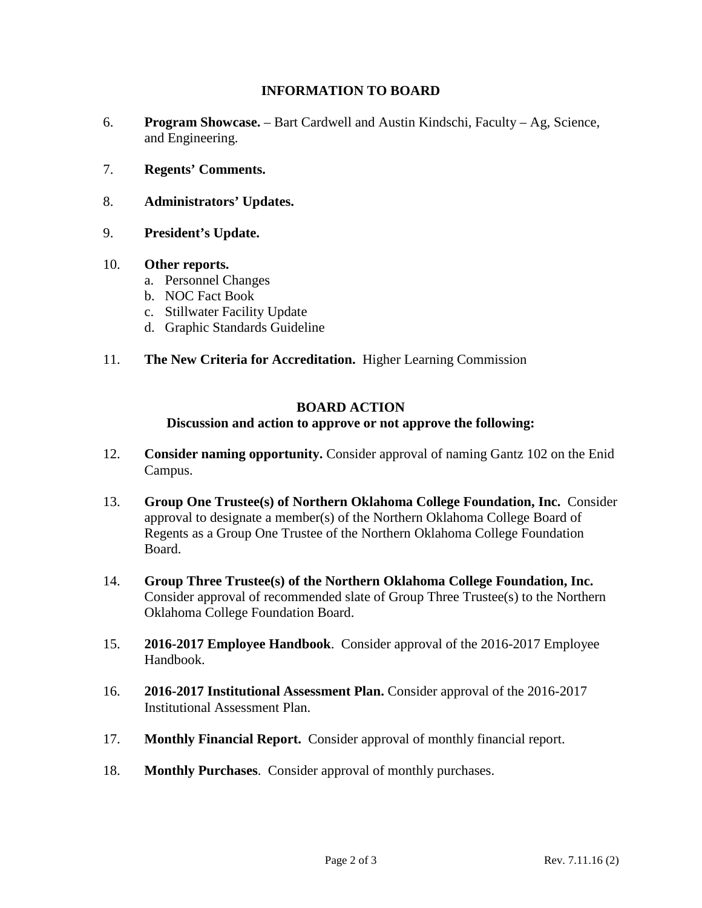# **INFORMATION TO BOARD**

- 6. **Program Showcase.** Bart Cardwell and Austin Kindschi, Faculty Ag, Science, and Engineering.
- 7. **Regents' Comments.**
- 8. **Administrators' Updates.**
- 9. **President's Update.**

### 10. **Other reports.**

- a. Personnel Changes
- b. NOC Fact Book
- c. Stillwater Facility Update
- d. Graphic Standards Guideline
- 11. **The New Criteria for Accreditation.** Higher Learning Commission

# **BOARD ACTION**

#### **Discussion and action to approve or not approve the following:**

- 12. **Consider naming opportunity.** Consider approval of naming Gantz 102 on the Enid Campus.
- 13. **Group One Trustee(s) of Northern Oklahoma College Foundation, Inc.** Consider approval to designate a member(s) of the Northern Oklahoma College Board of Regents as a Group One Trustee of the Northern Oklahoma College Foundation Board.
- 14. **Group Three Trustee(s) of the Northern Oklahoma College Foundation, Inc.**  Consider approval of recommended slate of Group Three Trustee(s) to the Northern Oklahoma College Foundation Board.
- 15. **2016-2017 Employee Handbook**. Consider approval of the 2016-2017 Employee Handbook.
- 16. **2016-2017 Institutional Assessment Plan.** Consider approval of the 2016-2017 Institutional Assessment Plan.
- 17. **Monthly Financial Report.** Consider approval of monthly financial report.
- 18. **Monthly Purchases**. Consider approval of monthly purchases.